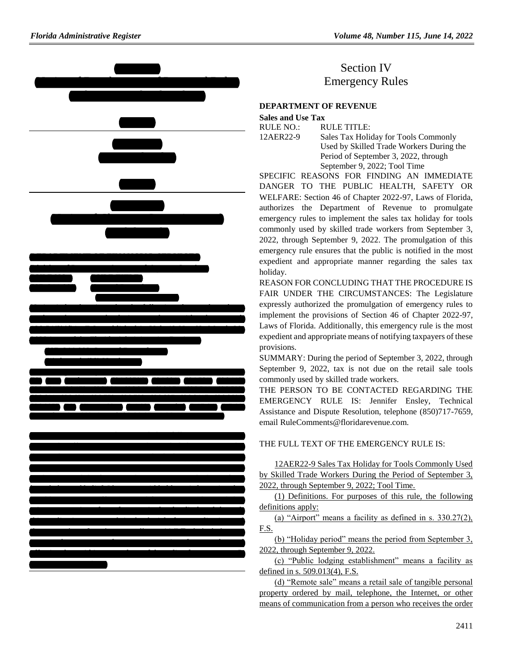

## Section IV Emergency Rules

## **[DEPARTMENT OF REVENUE](https://www.flrules.org/gateway/department.asp?id=12)**

**[Sales and Use Tax](https://www.flrules.org/gateway/organization.asp?id=33)**

RULE NO.: RULE TITLE:

[12AER22-9](https://www.flrules.org/gateway/ruleNo.asp?id=12AER22-9) Sales Tax Holiday for Tools Commonly Used by Skilled Trade Workers During the Period of September 3, 2022, through September 9, 2022; Tool Time

SPECIFIC REASONS FOR FINDING AN IMMEDIATE DANGER TO THE PUBLIC HEALTH, SAFETY OR WELFARE: Section 46 of Chapter 2022-97, Laws of Florida, authorizes the Department of Revenue to promulgate emergency rules to implement the sales tax holiday for tools commonly used by skilled trade workers from September 3, 2022, through September 9, 2022. The promulgation of this emergency rule ensures that the public is notified in the most expedient and appropriate manner regarding the sales tax holiday.

REASON FOR CONCLUDING THAT THE PROCEDURE IS FAIR UNDER THE CIRCUMSTANCES: The Legislature expressly authorized the promulgation of emergency rules to implement the provisions of Section 46 of Chapter 2022-97, Laws of Florida. Additionally, this emergency rule is the most expedient and appropriate means of notifying taxpayers of these provisions.

SUMMARY: During the period of September 3, 2022, through September 9, 2022, tax is not due on the retail sale tools commonly used by skilled trade workers.

THE PERSON TO BE CONTACTED REGARDING THE EMERGENCY RULE IS: Jennifer Ensley, Technical Assistance and Dispute Resolution, telephone (850)717-7659, email RuleComments@floridarevenue.com.

## THE FULL TEXT OF THE EMERGENCY RULE IS:

12AER22-9 Sales Tax Holiday for Tools Commonly Used by Skilled Trade Workers During the Period of September 3, 2022, through September 9, 2022; Tool Time.

(1) Definitions. For purposes of this rule, the following definitions apply:

(a) "Airport" means a facility as defined in s. 330.27(2), F.S.

(b) "Holiday period" means the period from September 3, 2022, through September 9, 2022.

(c) "Public lodging establishment" means a facility as defined in s. 509.013(4), F.S.

(d) "Remote sale" means a retail sale of tangible personal property ordered by mail, telephone, the Internet, or other means of communication from a person who receives the order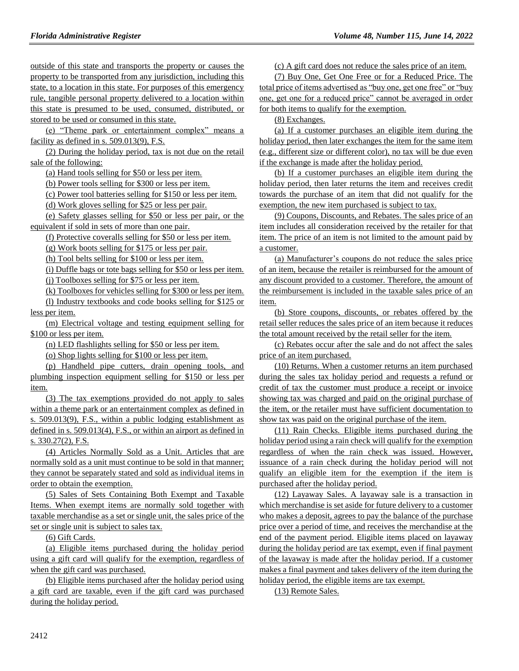outside of this state and transports the property or causes the property to be transported from any jurisdiction, including this state, to a location in this state. For purposes of this emergency rule, tangible personal property delivered to a location within this state is presumed to be used, consumed, distributed, or stored to be used or consumed in this state.

(e) "Theme park or entertainment complex" means a facility as defined in s. 509.013(9), F.S.

(2) During the holiday period, tax is not due on the retail sale of the following:

(a) Hand tools selling for \$50 or less per item.

(b) Power tools selling for \$300 or less per item.

(c) Power tool batteries selling for \$150 or less per item.

(d) Work gloves selling for \$25 or less per pair.

(e) Safety glasses selling for \$50 or less per pair, or the equivalent if sold in sets of more than one pair.

(f) Protective coveralls selling for \$50 or less per item.

(g) Work boots selling for \$175 or less per pair.

(h) Tool belts selling for \$100 or less per item.

(i) Duffle bags or tote bags selling for \$50 or less per item. (j) Toolboxes selling for \$75 or less per item.

(k) Toolboxes for vehicles selling for \$300 or less per item. (l) Industry textbooks and code books selling for \$125 or less per item.

(m) Electrical voltage and testing equipment selling for \$100 or less per item.

(n) LED flashlights selling for \$50 or less per item.

(o) Shop lights selling for \$100 or less per item.

(p) Handheld pipe cutters, drain opening tools, and plumbing inspection equipment selling for \$150 or less per item.

(3) The tax exemptions provided do not apply to sales within a theme park or an entertainment complex as defined in s. 509.013(9), F.S., within a public lodging establishment as defined in s. 509.013(4), F.S., or within an airport as defined in s. 330.27(2), F.S.

(4) Articles Normally Sold as a Unit. Articles that are normally sold as a unit must continue to be sold in that manner; they cannot be separately stated and sold as individual items in order to obtain the exemption.

(5) Sales of Sets Containing Both Exempt and Taxable Items. When exempt items are normally sold together with taxable merchandise as a set or single unit, the sales price of the set or single unit is subject to sales tax.

(6) Gift Cards.

(a) Eligible items purchased during the holiday period using a gift card will qualify for the exemption, regardless of when the gift card was purchased.

(b) Eligible items purchased after the holiday period using a gift card are taxable, even if the gift card was purchased during the holiday period.

(c) A gift card does not reduce the sales price of an item.

(7) Buy One, Get One Free or for a Reduced Price. The total price of items advertised as "buy one, get one free" or "buy one, get one for a reduced price" cannot be averaged in order for both items to qualify for the exemption.

(8) Exchanges.

(a) If a customer purchases an eligible item during the holiday period, then later exchanges the item for the same item (e.g., different size or different color), no tax will be due even if the exchange is made after the holiday period.

(b) If a customer purchases an eligible item during the holiday period, then later returns the item and receives credit towards the purchase of an item that did not qualify for the exemption, the new item purchased is subject to tax.

(9) Coupons, Discounts, and Rebates. The sales price of an item includes all consideration received by the retailer for that item. The price of an item is not limited to the amount paid by a customer.

(a) Manufacturer's coupons do not reduce the sales price of an item, because the retailer is reimbursed for the amount of any discount provided to a customer. Therefore, the amount of the reimbursement is included in the taxable sales price of an item.

(b) Store coupons, discounts, or rebates offered by the retail seller reduces the sales price of an item because it reduces the total amount received by the retail seller for the item.

(c) Rebates occur after the sale and do not affect the sales price of an item purchased.

(10) Returns. When a customer returns an item purchased during the sales tax holiday period and requests a refund or credit of tax the customer must produce a receipt or invoice showing tax was charged and paid on the original purchase of the item, or the retailer must have sufficient documentation to show tax was paid on the original purchase of the item.

(11) Rain Checks. Eligible items purchased during the holiday period using a rain check will qualify for the exemption regardless of when the rain check was issued. However, issuance of a rain check during the holiday period will not qualify an eligible item for the exemption if the item is purchased after the holiday period.

(12) Layaway Sales. A layaway sale is a transaction in which merchandise is set aside for future delivery to a customer who makes a deposit, agrees to pay the balance of the purchase price over a period of time, and receives the merchandise at the end of the payment period. Eligible items placed on layaway during the holiday period are tax exempt, even if final payment of the layaway is made after the holiday period. If a customer makes a final payment and takes delivery of the item during the holiday period, the eligible items are tax exempt.

(13) Remote Sales.